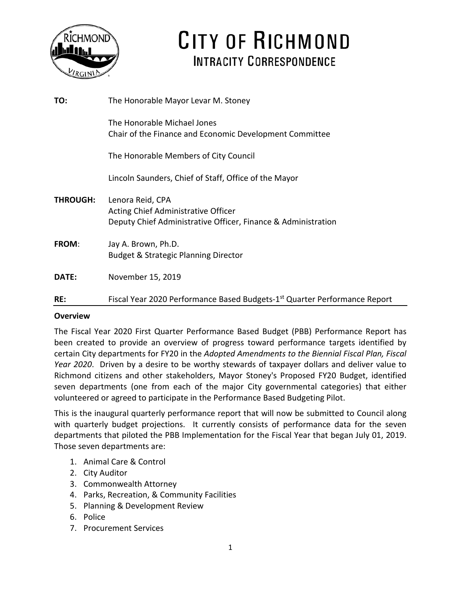

# CITY OF RICHMOND **INTRACITY CORRESPONDENCE**

| TO:             | The Honorable Mayor Levar M. Stoney                                                                                      |
|-----------------|--------------------------------------------------------------------------------------------------------------------------|
|                 | The Honorable Michael Jones<br>Chair of the Finance and Economic Development Committee                                   |
|                 | The Honorable Members of City Council                                                                                    |
|                 | Lincoln Saunders, Chief of Staff, Office of the Mayor                                                                    |
| <b>THROUGH:</b> | Lenora Reid, CPA<br>Acting Chief Administrative Officer<br>Deputy Chief Administrative Officer, Finance & Administration |
| FROM:           | Jay A. Brown, Ph.D.<br><b>Budget &amp; Strategic Planning Director</b>                                                   |
| DATE:           | November 15, 2019                                                                                                        |
| RE:             | Fiscal Year 2020 Performance Based Budgets-1 <sup>st</sup> Quarter Performance Report                                    |

#### **Overview**

The Fiscal Year 2020 First Quarter Performance Based Budget (PBB) Performance Report has been created to provide an overview of progress toward performance targets identified by certain City departments for FY20 in the *Adopted Amendments to the Biennial Fiscal Plan, Fiscal Year 2020*. Driven by a desire to be worthy stewards of taxpayer dollars and deliver value to Richmond citizens and other stakeholders, Mayor Stoney's Proposed FY20 Budget, identified seven departments (one from each of the major City governmental categories) that either volunteered or agreed to participate in the Performance Based Budgeting Pilot.

This is the inaugural quarterly performance report that will now be submitted to Council along with quarterly budget projections. It currently consists of performance data for the seven departments that piloted the PBB Implementation for the Fiscal Year that began July 01, 2019. Those seven departments are:

- 1. Animal Care & Control
- 2. City Auditor
- 3. Commonwealth Attorney
- 4. Parks, Recreation, & Community Facilities
- 5. Planning & Development Review
- 6. Police
- 7. Procurement Services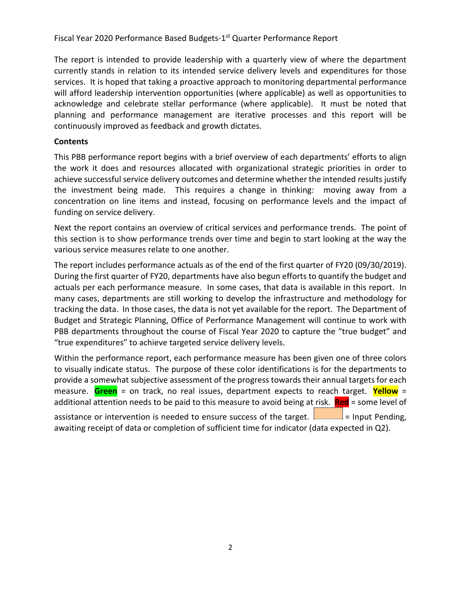The report is intended to provide leadership with a quarterly view of where the department currently stands in relation to its intended service delivery levels and expenditures for those services. It is hoped that taking a proactive approach to monitoring departmental performance will afford leadership intervention opportunities (where applicable) as well as opportunities to acknowledge and celebrate stellar performance (where applicable). It must be noted that planning and performance management are iterative processes and this report will be continuously improved as feedback and growth dictates.

#### **Contents**

This PBB performance report begins with a brief overview of each departments' efforts to align the work it does and resources allocated with organizational strategic priorities in order to achieve successful service delivery outcomes and determine whether the intended results justify the investment being made. This requires a change in thinking: moving away from a concentration on line items and instead, focusing on performance levels and the impact of funding on service delivery.

Next the report contains an overview of critical services and performance trends. The point of this section is to show performance trends over time and begin to start looking at the way the various service measures relate to one another.

The report includes performance actuals as of the end of the first quarter of FY20 (09/30/2019). During the first quarter of FY20, departments have also begun efforts to quantify the budget and actuals per each performance measure. In some cases, that data is available in this report. In many cases, departments are still working to develop the infrastructure and methodology for tracking the data. In those cases, the data is not yet available for the report. The Department of Budget and Strategic Planning, Office of Performance Management will continue to work with PBB departments throughout the course of Fiscal Year 2020 to capture the "true budget" and "true expenditures" to achieve targeted service delivery levels.

Within the performance report, each performance measure has been given one of three colors to visually indicate status. The purpose of these color identifications is for the departments to provide a somewhat subjective assessment of the progress towards their annual targets for each measure. **Green** = on track, no real issues, department expects to reach target. **Yellow** = additional attention needs to be paid to this measure to avoid being at risk. **Red** = some level of assistance or intervention is needed to ensure success of the target.  $\Box$  = Input Pending, awaiting receipt of data or completion of sufficient time for indicator (data expected in Q2).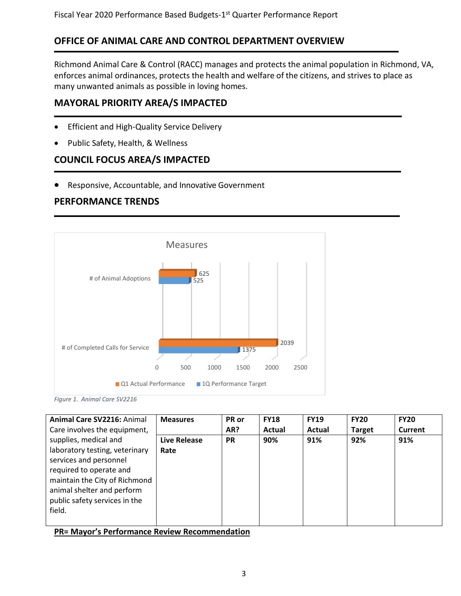### **OFFICE OF ANIMAL CARE AND CONTROL DEPARTMENT OVERVIEW**

Richmond Animal Care & Control (RACC) manages and protects the animal population in Richmond, VA, enforces animal ordinances, protects the health and welfare of the citizens, and strives to place as many unwanted animals as possible in loving homes.

### **MAYORAL PRIORITY AREA/S IMPACTED**

- Efficient and High-Quality Service Delivery
- Public Safety, Health, & Wellness

### **COUNCIL FOCUS AREA/S IMPACTED**

• Responsive, Accountable, and Innovative Government

### **PERFORMANCE TRENDS**





| Animal Care SV2216: Animal                                                                                                                                                                                             | <b>Measures</b>      | PR or     | <b>FY18</b> | <b>FY19</b> | <b>FY20</b>   | <b>FY20</b> |
|------------------------------------------------------------------------------------------------------------------------------------------------------------------------------------------------------------------------|----------------------|-----------|-------------|-------------|---------------|-------------|
| Care involves the equipment,                                                                                                                                                                                           |                      | AR?       | Actual      | Actual      | <b>Target</b> | Current     |
| supplies, medical and<br>laboratory testing, veterinary<br>services and personnel<br>required to operate and<br>maintain the City of Richmond<br>animal shelter and perform<br>public safety services in the<br>field. | Live Release<br>Rate | <b>PR</b> | 90%         | 91%         | 92%           | 91%         |

**PR= Mayor's Performance Review Recommendation**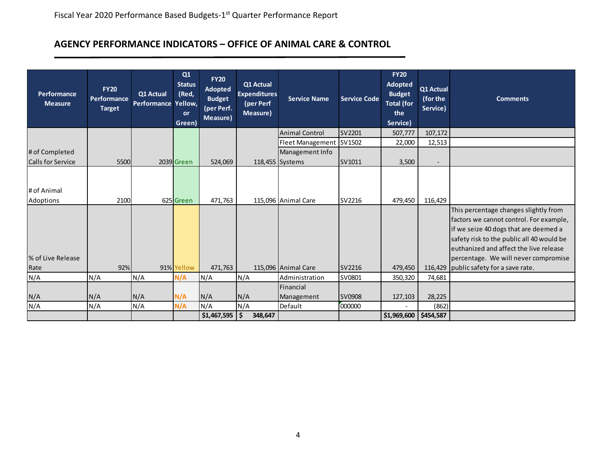#### **AGENCY PERFORMANCE INDICATORS – OFFICE OF ANIMAL CARE & CONTROL**

| Performance<br><b>Measure</b> | <b>FY20</b><br><b>Performance</b><br><b>Target</b> | Q1 Actual<br>Performance Yellow, | Q1<br><b>Status</b><br>(Red,<br>or<br>Green) | <b>FY20</b><br>Adopted<br><b>Budget</b><br>(per Perf.<br>Measure) | Q1 Actual<br><b>Expenditures</b><br>(per Perf<br>Measure) | <b>Service Name</b>     | <b>Service Code</b> | <b>FY20</b><br><b>Adopted</b><br><b>Budget</b><br><b>Total (for</b><br>the<br>Service) | Q1 Actual<br>(for the<br>Service) | <b>Comments</b>                                                                                                                                                                                                                                                                            |
|-------------------------------|----------------------------------------------------|----------------------------------|----------------------------------------------|-------------------------------------------------------------------|-----------------------------------------------------------|-------------------------|---------------------|----------------------------------------------------------------------------------------|-----------------------------------|--------------------------------------------------------------------------------------------------------------------------------------------------------------------------------------------------------------------------------------------------------------------------------------------|
|                               |                                                    |                                  |                                              |                                                                   |                                                           | <b>Animal Control</b>   | SV2201              | 507,777                                                                                | 107,172                           |                                                                                                                                                                                                                                                                                            |
|                               |                                                    |                                  |                                              |                                                                   |                                                           | Fleet Management SV1502 |                     | 22,000                                                                                 | 12,513                            |                                                                                                                                                                                                                                                                                            |
| # of Completed                |                                                    |                                  |                                              |                                                                   |                                                           | Management Info         |                     |                                                                                        |                                   |                                                                                                                                                                                                                                                                                            |
| <b>Calls for Service</b>      | 5500                                               |                                  | 2039 Green                                   | 524,069                                                           |                                                           | 118,455 Systems         | SV1011              | 3,500                                                                                  | $\overline{\phantom{a}}$          |                                                                                                                                                                                                                                                                                            |
| # of Animal<br>Adoptions      | 2100                                               |                                  | 625 Green                                    | 471,763                                                           |                                                           | 115,096 Animal Care     | <b>SV2216</b>       | 479,450                                                                                | 116,429                           |                                                                                                                                                                                                                                                                                            |
| % of Live Release<br>Rate     | 92%                                                |                                  | 91% Yellow                                   | 471,763                                                           |                                                           | 115,096 Animal Care     | SV2216              | 479,450                                                                                | 116,429                           | This percentage changes slightly from<br>factors we cannot control. For example,<br>if we seize 40 dogs that are deemed a<br>safety risk to the public all 40 would be<br>euthanized and affect the live release<br>percentage. We will never compromise<br>public safety for a save rate. |
| N/A                           | N/A                                                | N/A                              | N/A                                          | N/A                                                               | N/A                                                       | Administration          | SV0801              | 350,320                                                                                | 74,681                            |                                                                                                                                                                                                                                                                                            |
|                               |                                                    |                                  |                                              |                                                                   |                                                           | Financial               |                     |                                                                                        |                                   |                                                                                                                                                                                                                                                                                            |
| N/A                           | N/A                                                | N/A                              | N/A                                          | N/A                                                               | N/A                                                       | Management              | SV0908              | 127,103                                                                                | 28,225                            |                                                                                                                                                                                                                                                                                            |
| N/A                           | N/A                                                | N/A                              | N/A                                          | N/A                                                               | N/A                                                       | Default                 | 000000              |                                                                                        | (862)                             |                                                                                                                                                                                                                                                                                            |
|                               |                                                    |                                  |                                              | \$1,467,595                                                       | \$<br>348,647                                             |                         |                     | $$1,969,600$ $$454,587$                                                                |                                   |                                                                                                                                                                                                                                                                                            |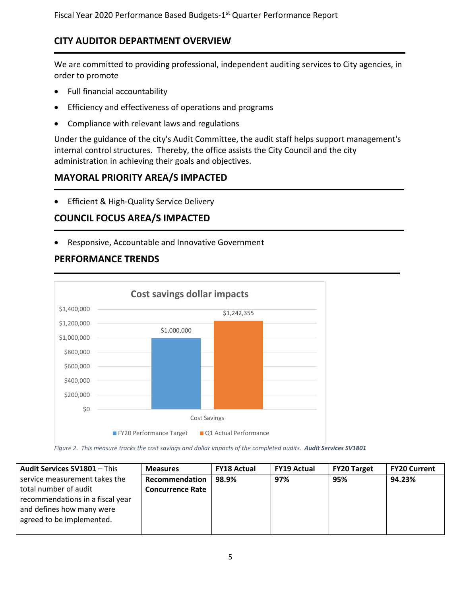### **CITY AUDITOR DEPARTMENT OVERVIEW**

We are committed to providing professional, independent auditing services to City agencies, in order to promote

- Full financial accountability
- Efficiency and effectiveness of operations and programs
- Compliance with relevant laws and regulations

Under the guidance of the city's Audit Committee, the audit staff helps support management's internal control structures. Thereby, the office assists the City Council and the city administration in achieving their goals and objectives.

### **MAYORAL PRIORITY AREA/S IMPACTED**

• Efficient & High-Quality Service Delivery

### **COUNCIL FOCUS AREA/S IMPACTED**

• Responsive, Accountable and Innovative Government

### **PERFORMANCE TRENDS**



*Figure 2. This measure tracks the cost savings and dollar impacts of the completed audits. Audit Services SV1801*

| <b>Audit Services SV1801 - This</b> | <b>Measures</b>         | <b>FY18 Actual</b> | <b>FY19 Actual</b> | <b>FY20 Target</b> | <b>FY20 Current</b> |
|-------------------------------------|-------------------------|--------------------|--------------------|--------------------|---------------------|
| service measurement takes the       | Recommendation          | 98.9%              | 97%                | 95%                | 94.23%              |
| total number of audit               | <b>Concurrence Rate</b> |                    |                    |                    |                     |
| recommendations in a fiscal year    |                         |                    |                    |                    |                     |
| and defines how many were           |                         |                    |                    |                    |                     |
| agreed to be implemented.           |                         |                    |                    |                    |                     |
|                                     |                         |                    |                    |                    |                     |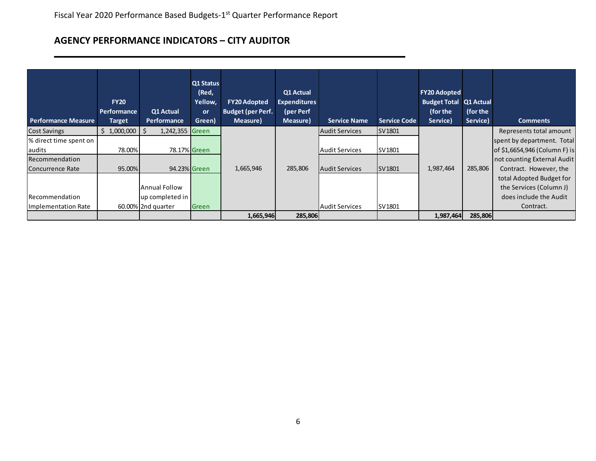# **AGENCY PERFORMANCE INDICATORS – CITY AUDITOR**

| <b>Performance Measure</b> | <b>FY20</b><br><b>Performance</b><br><b>Target</b> | Q1 Actual<br><b>Performance</b> | Q1 Status<br>(Red,<br>Yellow,<br>or<br>Green) | <b>FY20 Adopted</b><br><b>Budget (per Perf.</b><br>Measure) | Q1 Actual<br><b>Expenditures</b><br>(per Perf<br>Measure) | <b>Service Name</b>   | <b>Service Code</b> | <b>FY20 Adopted</b><br><b>Budget Total Q1 Actual</b><br>(for the<br>Service) | (for the<br>Service) | <b>Comments</b>               |
|----------------------------|----------------------------------------------------|---------------------------------|-----------------------------------------------|-------------------------------------------------------------|-----------------------------------------------------------|-----------------------|---------------------|------------------------------------------------------------------------------|----------------------|-------------------------------|
| <b>Cost Savings</b>        | \$1,000,000                                        | \$<br>1,242,355                 | Green                                         |                                                             |                                                           | <b>Audit Services</b> | SV1801              |                                                                              |                      | Represents total amount       |
| % direct time spent on     |                                                    |                                 |                                               |                                                             |                                                           |                       |                     |                                                                              |                      | spent by department. Total    |
| laudits                    | 78.00%                                             |                                 | 78.17% Green                                  |                                                             |                                                           | <b>Audit Services</b> | SV1801              |                                                                              |                      | of \$1,6654,946 (Column F) is |
| Recommendation             |                                                    |                                 |                                               |                                                             |                                                           |                       |                     |                                                                              |                      | not counting External Audit   |
| Concurrence Rate           | 95.00%                                             |                                 | 94.23% Green                                  | 1,665,946                                                   | 285,806                                                   | Audit Services        | SV1801              | 1,987,464                                                                    | 285,806              | Contract. However, the        |
|                            |                                                    |                                 |                                               |                                                             |                                                           |                       |                     |                                                                              |                      | total Adopted Budget for      |
|                            |                                                    | Annual Follow                   |                                               |                                                             |                                                           |                       |                     |                                                                              |                      | the Services (Column J)       |
| <b>IRecommendation</b>     |                                                    | up completed in                 |                                               |                                                             |                                                           |                       |                     |                                                                              |                      | does include the Audit        |
| Implementation Rate        |                                                    | 60.00% 2nd quarter              | Green                                         |                                                             |                                                           | <b>Audit Services</b> | SV1801              |                                                                              |                      | Contract.                     |
|                            |                                                    |                                 |                                               | 1,665,946                                                   | 285,806                                                   |                       |                     | 1,987,464                                                                    | 285,806              |                               |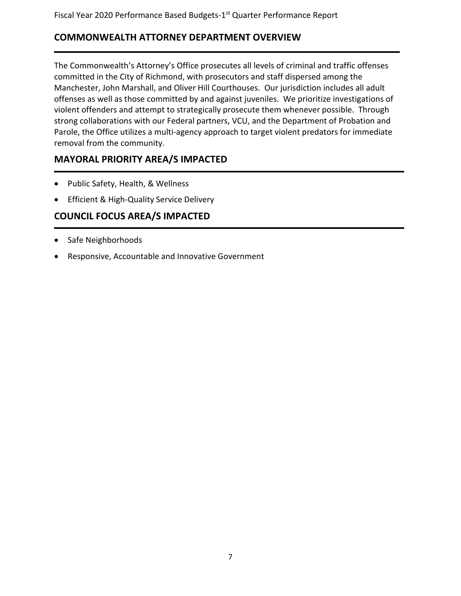### **COMMONWEALTH ATTORNEY DEPARTMENT OVERVIEW**

The Commonwealth's Attorney's Office prosecutes all levels of criminal and traffic offenses committed in the City of Richmond, with prosecutors and staff dispersed among the Manchester, John Marshall, and Oliver Hill Courthouses. Our jurisdiction includes all adult offenses as well as those committed by and against juveniles. We prioritize investigations of violent offenders and attempt to strategically prosecute them whenever possible. Through strong collaborations with our Federal partners, VCU, and the Department of Probation and Parole, the Office utilizes a multi-agency approach to target violent predators for immediate removal from the community.

### **MAYORAL PRIORITY AREA/S IMPACTED**

- Public Safety, Health, & Wellness
- Efficient & High-Quality Service Delivery

### **COUNCIL FOCUS AREA/S IMPACTED**

- Safe Neighborhoods
- Responsive, Accountable and Innovative Government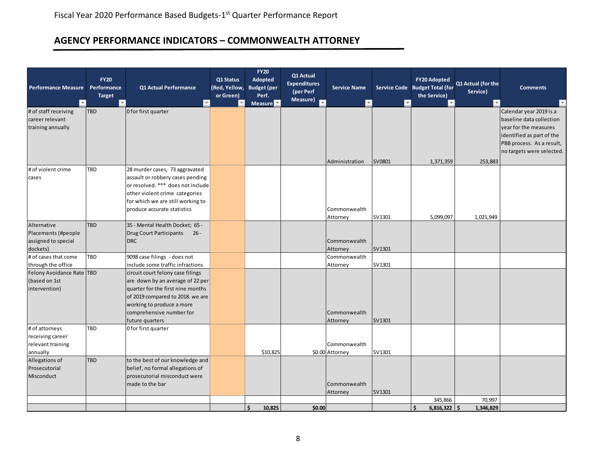# **AGENCY PERFORMANCE INDICATORS – COMMONWEALTH ATTORNEY**

| <b>Performance Measure</b><br>$\vert \nabla$                          | <b>FY20</b><br>Performance<br><b>Target</b><br>$\overline{\phantom{a}}$ | Q1 Actual Performance<br>$\mathbf{v}$                                                                                                                                                                                      | Q1 Status<br>(Red, Yellow,<br>or Green)<br>$\overline{\mathbf{v}}$ | <b>FY20</b><br>Adopted<br><b>Budget</b> (per<br>Perf.<br>Measure | Q1 Actual<br><b>Expenditures</b><br>(per Perf<br>Measure)<br>₹ | <b>Service Name</b><br>$\overline{\phantom{a}}$ | v      | <b>FY20 Adopted</b><br>Service Code Budget Total (for<br>the Service) | Q1 Actual (for the<br>Service) | <b>Comments</b>                                                                                                                        |
|-----------------------------------------------------------------------|-------------------------------------------------------------------------|----------------------------------------------------------------------------------------------------------------------------------------------------------------------------------------------------------------------------|--------------------------------------------------------------------|------------------------------------------------------------------|----------------------------------------------------------------|-------------------------------------------------|--------|-----------------------------------------------------------------------|--------------------------------|----------------------------------------------------------------------------------------------------------------------------------------|
| # of staff receiving<br>career relevant<br>training annually          | TBD                                                                     | O for first quarter                                                                                                                                                                                                        |                                                                    |                                                                  |                                                                |                                                 |        |                                                                       |                                | Calendar year 2019 is a<br>baseline data collection<br>year for the measures<br>identified as part of the<br>PBB process. As a result, |
|                                                                       |                                                                         |                                                                                                                                                                                                                            |                                                                    |                                                                  |                                                                | Administration                                  | SV0801 | 1,371,359                                                             | 253,883                        | no targets were selected.                                                                                                              |
| # of violent crime<br>cases                                           | TBD                                                                     | 28 murder cases, 73 aggravated<br>assault or robbery cases pending<br>or resolved. *** does not include<br>other violent crime categories<br>for which we are still working to<br>produce accurate statistics              |                                                                    |                                                                  |                                                                | Commonwealth<br>Attorney                        | SV1301 | 5,099,097                                                             | 1,021,949                      |                                                                                                                                        |
| Alternative<br>Placements (#people<br>assigned to special<br>dockets) | <b>TBD</b>                                                              | 35 - Mental Health Docket; 65 -<br><b>Drug Court Participants</b><br>$26 -$<br><b>DRC</b>                                                                                                                                  |                                                                    |                                                                  |                                                                | Commonwealth<br>Attorney                        | SV1301 |                                                                       |                                |                                                                                                                                        |
| # of cases that come<br>through the office                            | TBD                                                                     | 9098 case filings - does not<br>include some traffic infractions                                                                                                                                                           |                                                                    |                                                                  |                                                                | Commonwealth<br>Attorney                        | SV1301 |                                                                       |                                |                                                                                                                                        |
| Felony Avoidance Rate TBD<br>(based on 1st<br>intervention)           |                                                                         | circuit court felony case filings<br>are down by an average of 22 per<br>quarter for the first nine months<br>of 2019 compared to 2018. we are<br>working to produce a more<br>comprehensive number for<br>future quarters |                                                                    |                                                                  |                                                                | Commonwealth<br>Attorney                        | SV1301 |                                                                       |                                |                                                                                                                                        |
| # of attorneys<br>receiving career<br>relevant training<br>annually   | TBD                                                                     | 0 for first quarter                                                                                                                                                                                                        |                                                                    | \$10,825                                                         |                                                                | Commonwealth<br>\$0.00 Attorney                 | SV1301 |                                                                       |                                |                                                                                                                                        |
| Allegations of<br>Prosecutorial<br>Misconduct                         | TBD                                                                     | to the best of our knowledge and<br>belief, no formal allegations of<br>prosecutorial misconduct were<br>made to the bar                                                                                                   |                                                                    |                                                                  |                                                                | Commonwealth<br>Attorney                        | SV1301 |                                                                       |                                |                                                                                                                                        |
|                                                                       |                                                                         |                                                                                                                                                                                                                            |                                                                    | 10,825                                                           | \$0.00                                                         |                                                 |        | 345,866<br>$6,816,322$   \$                                           | 70,997<br>1,346,829            |                                                                                                                                        |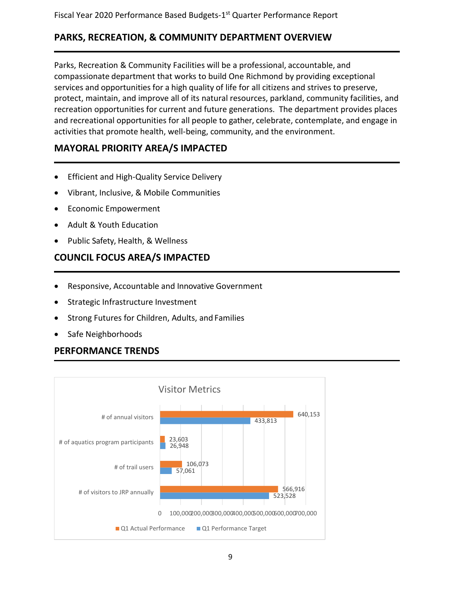### **PARKS, RECREATION, & COMMUNITY DEPARTMENT OVERVIEW**

Parks, Recreation & Community Facilities will be a professional, accountable, and compassionate department that works to build One Richmond by providing exceptional services and opportunities for a high quality of life for all citizens and strives to preserve, protect, maintain, and improve all of its natural resources, parkland, community facilities, and recreation opportunities for current and future generations. The department provides places and recreational opportunities for all people to gather, celebrate, contemplate, and engage in activities that promote health, well-being, community, and the environment.

### **MAYORAL PRIORITY AREA/S IMPACTED**

- Efficient and High-Quality Service Delivery
- Vibrant, Inclusive, & Mobile Communities
- Economic Empowerment
- Adult & Youth Education
- Public Safety, Health, & Wellness

### **COUNCIL FOCUS AREA/S IMPACTED**

- Responsive, Accountable and Innovative Government
- Strategic Infrastructure Investment
- Strong Futures for Children, Adults, and Families
- Safe Neighborhoods

### **PERFORMANCE TRENDS**

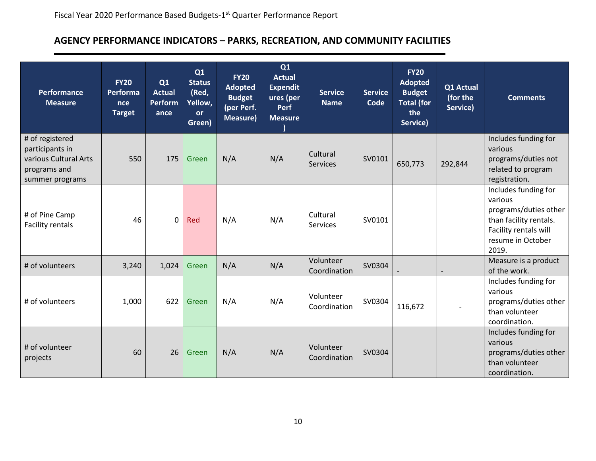# **AGENCY PERFORMANCE INDICATORS – PARKS, RECREATION, AND COMMUNITY FACILITIES**

| <b>Performance</b><br><b>Measure</b>                                                           | <b>FY20</b><br>Performa<br><b>nce</b><br><b>Target</b> | Q1<br><b>Actual</b><br><b>Perform</b><br>ance | Q1<br><b>Status</b><br>(Red,<br>Yellow,<br><b>or</b><br>Green) | <b>FY20</b><br><b>Adopted</b><br><b>Budget</b><br>(per Perf.<br><b>Measure)</b> | Q1<br><b>Actual</b><br><b>Expendit</b><br>ures (per<br><b>Perf</b><br><b>Measure</b> | <b>Service</b><br><b>Name</b> | <b>Service</b><br>Code | <b>FY20</b><br><b>Adopted</b><br><b>Budget</b><br><b>Total (for</b><br>the<br>Service) | Q1 Actual<br>(for the<br>Service) | <b>Comments</b>                                                                                                                           |
|------------------------------------------------------------------------------------------------|--------------------------------------------------------|-----------------------------------------------|----------------------------------------------------------------|---------------------------------------------------------------------------------|--------------------------------------------------------------------------------------|-------------------------------|------------------------|----------------------------------------------------------------------------------------|-----------------------------------|-------------------------------------------------------------------------------------------------------------------------------------------|
| # of registered<br>participants in<br>various Cultural Arts<br>programs and<br>summer programs | 550                                                    | 175                                           | Green                                                          | N/A                                                                             | N/A                                                                                  | Cultural<br><b>Services</b>   | SV0101                 | 650,773                                                                                | 292,844                           | Includes funding for<br>various<br>programs/duties not<br>related to program<br>registration.                                             |
| # of Pine Camp<br><b>Facility rentals</b>                                                      | 46                                                     | $\mathbf 0$                                   | Red                                                            | N/A                                                                             | N/A                                                                                  | Cultural<br>Services          | SV0101                 |                                                                                        |                                   | Includes funding for<br>various<br>programs/duties other<br>than facility rentals.<br>Facility rentals will<br>resume in October<br>2019. |
| # of volunteers                                                                                | 3,240                                                  | 1,024                                         | Green                                                          | N/A                                                                             | N/A                                                                                  | Volunteer<br>Coordination     | SV0304                 |                                                                                        |                                   | Measure is a product<br>of the work.                                                                                                      |
| # of volunteers                                                                                | 1,000                                                  | 622                                           | Green                                                          | N/A                                                                             | N/A                                                                                  | Volunteer<br>Coordination     | SV0304                 | 116,672                                                                                |                                   | Includes funding for<br>various<br>programs/duties other<br>than volunteer<br>coordination.                                               |
| # of volunteer<br>projects                                                                     | 60                                                     | 26                                            | Green                                                          | N/A                                                                             | N/A                                                                                  | Volunteer<br>Coordination     | SV0304                 |                                                                                        |                                   | Includes funding for<br>various<br>programs/duties other<br>than volunteer<br>coordination.                                               |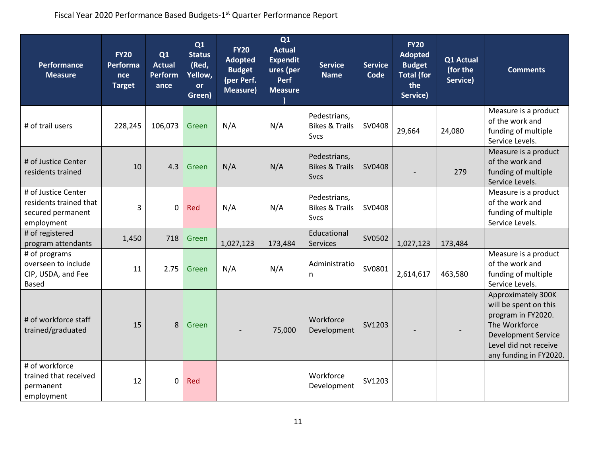| <b>Performance</b><br><b>Measure</b>                                             | <b>FY20</b><br>Performa<br>nce<br><b>Target</b> | Q1<br><b>Actual</b><br><b>Perform</b><br>ance | Q1<br><b>Status</b><br>(Red,<br>Yellow,<br><b>or</b><br>Green) | <b>FY20</b><br><b>Adopted</b><br><b>Budget</b><br>(per Perf.<br><b>Measure)</b> | Q1<br><b>Actual</b><br><b>Expendit</b><br>ures (per<br><b>Perf</b><br><b>Measure</b> | <b>Service</b><br><b>Name</b>                            | <b>Service</b><br>Code | <b>FY20</b><br><b>Adopted</b><br><b>Budget</b><br><b>Total (for</b><br>the<br>Service) | Q1 Actual<br>(for the<br>Service) | <b>Comments</b>                                                                                                                                                     |
|----------------------------------------------------------------------------------|-------------------------------------------------|-----------------------------------------------|----------------------------------------------------------------|---------------------------------------------------------------------------------|--------------------------------------------------------------------------------------|----------------------------------------------------------|------------------------|----------------------------------------------------------------------------------------|-----------------------------------|---------------------------------------------------------------------------------------------------------------------------------------------------------------------|
| # of trail users                                                                 | 228,245                                         | 106,073                                       | Green                                                          | N/A                                                                             | N/A                                                                                  | Pedestrians,<br><b>Bikes &amp; Trails</b><br><b>Svcs</b> | SV0408                 | 29,664                                                                                 | 24,080                            | Measure is a product<br>of the work and<br>funding of multiple<br>Service Levels.                                                                                   |
| # of Justice Center<br>residents trained                                         | 10                                              | 4.3                                           | Green                                                          | N/A                                                                             | N/A                                                                                  | Pedestrians,<br><b>Bikes &amp; Trails</b><br><b>Sycs</b> | SV0408                 |                                                                                        | 279                               | Measure is a product<br>of the work and<br>funding of multiple<br>Service Levels.                                                                                   |
| # of Justice Center<br>residents trained that<br>secured permanent<br>employment | 3                                               | 0                                             | Red                                                            | N/A                                                                             | N/A                                                                                  | Pedestrians,<br><b>Bikes &amp; Trails</b><br><b>Svcs</b> | SV0408                 |                                                                                        |                                   | Measure is a product<br>of the work and<br>funding of multiple<br>Service Levels.                                                                                   |
| # of registered<br>program attendants                                            | 1,450                                           | 718                                           | Green                                                          | 1,027,123                                                                       | 173,484                                                                              | Educational<br><b>Services</b>                           | SV0502                 | 1,027,123                                                                              | 173,484                           |                                                                                                                                                                     |
| # of programs<br>overseen to include<br>CIP, USDA, and Fee<br><b>Based</b>       | 11                                              | 2.75                                          | Green                                                          | N/A                                                                             | N/A                                                                                  | Administratio<br>n                                       | SV0801                 | 2,614,617                                                                              | 463,580                           | Measure is a product<br>of the work and<br>funding of multiple<br>Service Levels.                                                                                   |
| # of workforce staff<br>trained/graduated                                        | 15                                              | 8                                             | Green                                                          |                                                                                 | 75,000                                                                               | Workforce<br>Development                                 | SV1203                 |                                                                                        |                                   | Approximately 300K<br>will be spent on this<br>program in FY2020.<br>The Workforce<br><b>Development Service</b><br>Level did not receive<br>any funding in FY2020. |
| # of workforce<br>trained that received<br>permanent<br>employment               | 12                                              | $\mathbf 0$                                   | Red                                                            |                                                                                 |                                                                                      | Workforce<br>Development                                 | SV1203                 |                                                                                        |                                   |                                                                                                                                                                     |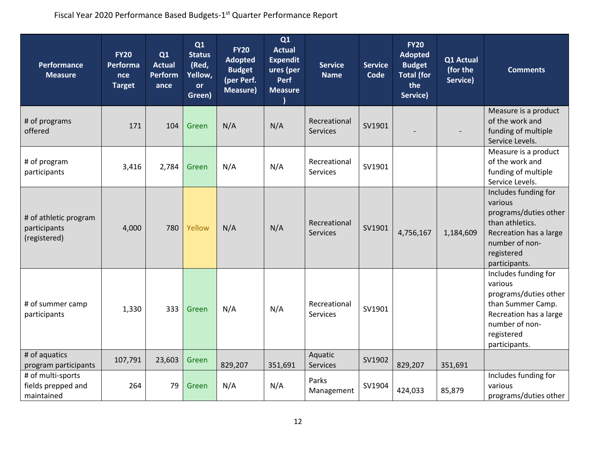| <b>Performance</b><br><b>Measure</b>                                      | <b>FY20</b><br>Performa<br>nce<br><b>Target</b> | Q1<br><b>Actual</b><br><b>Perform</b><br>ance | Q1<br><b>Status</b><br>(Red,<br>Yellow,<br><b>or</b><br>Green) | <b>FY20</b><br><b>Adopted</b><br><b>Budget</b><br>(per Perf.<br><b>Measure)</b> | Q1<br><b>Actual</b><br><b>Expendit</b><br>ures (per<br><b>Perf</b><br><b>Measure</b> | <b>Service</b><br><b>Name</b>   | <b>Service</b><br>Code | <b>FY20</b><br><b>Adopted</b><br><b>Budget</b><br><b>Total (for</b><br>the<br>Service) | Q1 Actual<br>(for the<br>Service) | <b>Comments</b>                                                                                                                                          |
|---------------------------------------------------------------------------|-------------------------------------------------|-----------------------------------------------|----------------------------------------------------------------|---------------------------------------------------------------------------------|--------------------------------------------------------------------------------------|---------------------------------|------------------------|----------------------------------------------------------------------------------------|-----------------------------------|----------------------------------------------------------------------------------------------------------------------------------------------------------|
| # of programs<br>offered                                                  | 171                                             | 104                                           | Green                                                          | N/A                                                                             | N/A                                                                                  | Recreational<br><b>Services</b> | SV1901                 |                                                                                        |                                   | Measure is a product<br>of the work and<br>funding of multiple<br>Service Levels.                                                                        |
| # of program<br>participants                                              | 3,416                                           | 2,784                                         | Green                                                          | N/A                                                                             | N/A                                                                                  | Recreational<br>Services        | SV1901                 |                                                                                        |                                   | Measure is a product<br>of the work and<br>funding of multiple<br>Service Levels.                                                                        |
| # of athletic program<br>participants<br>(registered)                     | 4,000                                           | 780                                           | Yellow                                                         | N/A                                                                             | N/A                                                                                  | Recreational<br><b>Services</b> | SV1901                 | 4,756,167                                                                              | 1,184,609                         | Includes funding for<br>various<br>programs/duties other<br>than athletics.<br>Recreation has a large<br>number of non-<br>registered<br>participants.   |
| # of summer camp<br>participants                                          | 1,330                                           | 333                                           | Green                                                          | N/A                                                                             | N/A                                                                                  | Recreational<br><b>Services</b> | SV1901                 |                                                                                        |                                   | Includes funding for<br>various<br>programs/duties other<br>than Summer Camp.<br>Recreation has a large<br>number of non-<br>registered<br>participants. |
| # of aquatics<br>program participants                                     | 107,791                                         | 23,603                                        | Green                                                          | 829,207                                                                         | 351,691                                                                              | Aquatic<br>Services             | SV1902                 | 829,207                                                                                | 351,691                           |                                                                                                                                                          |
| $\overline{\text{#}}$ of multi-sports<br>fields prepped and<br>maintained | 264                                             | 79                                            | Green                                                          | N/A                                                                             | N/A                                                                                  | Parks<br>Management             | SV1904                 | 424,033                                                                                | 85,879                            | Includes funding for<br>various<br>programs/duties other                                                                                                 |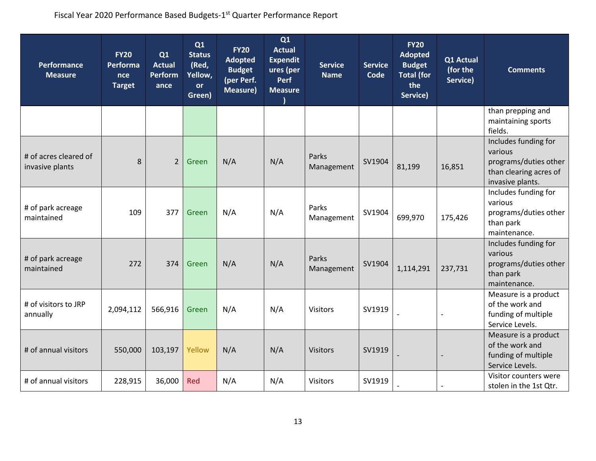| <b>Performance</b><br><b>Measure</b>     | <b>FY20</b><br>Performa<br>nce<br><b>Target</b> | Q1<br><b>Actual</b><br><b>Perform</b><br>ance | Q1<br><b>Status</b><br>(Red,<br>Yellow,<br><b>or</b><br>Green) | <b>FY20</b><br><b>Adopted</b><br><b>Budget</b><br>(per Perf.<br><b>Measure)</b> | Q1<br><b>Actual</b><br><b>Expendit</b><br>ures (per<br><b>Perf</b><br><b>Measure</b> | <b>Service</b><br><b>Name</b> | <b>Service</b><br>Code | <b>FY20</b><br><b>Adopted</b><br><b>Budget</b><br><b>Total (for</b><br>the<br>Service) | Q1 Actual<br>(for the<br>Service) | <b>Comments</b>                                                                                        |
|------------------------------------------|-------------------------------------------------|-----------------------------------------------|----------------------------------------------------------------|---------------------------------------------------------------------------------|--------------------------------------------------------------------------------------|-------------------------------|------------------------|----------------------------------------------------------------------------------------|-----------------------------------|--------------------------------------------------------------------------------------------------------|
|                                          |                                                 |                                               |                                                                |                                                                                 |                                                                                      |                               |                        |                                                                                        |                                   | than prepping and<br>maintaining sports<br>fields.                                                     |
| # of acres cleared of<br>invasive plants | 8                                               | $\overline{2}$                                | Green                                                          | N/A                                                                             | N/A                                                                                  | Parks<br>Management           | SV1904                 | 81,199                                                                                 | 16,851                            | Includes funding for<br>various<br>programs/duties other<br>than clearing acres of<br>invasive plants. |
| # of park acreage<br>maintained          | 109                                             | 377                                           | Green                                                          | N/A                                                                             | N/A                                                                                  | Parks<br>Management           | SV1904                 | 699,970                                                                                | 175,426                           | Includes funding for<br>various<br>programs/duties other<br>than park<br>maintenance.                  |
| # of park acreage<br>maintained          | 272                                             | 374                                           | Green                                                          | N/A                                                                             | N/A                                                                                  | Parks<br>Management           | SV1904                 | 1,114,291                                                                              | 237,731                           | Includes funding for<br>various<br>programs/duties other<br>than park<br>maintenance.                  |
| # of visitors to JRP<br>annually         | 2,094,112                                       | 566,916                                       | Green                                                          | N/A                                                                             | N/A                                                                                  | <b>Visitors</b>               | SV1919                 |                                                                                        | $\overline{\phantom{a}}$          | Measure is a product<br>of the work and<br>funding of multiple<br>Service Levels.                      |
| # of annual visitors                     | 550,000                                         | 103,197                                       | Yellow                                                         | N/A                                                                             | N/A                                                                                  | <b>Visitors</b>               | SV1919                 |                                                                                        |                                   | Measure is a product<br>of the work and<br>funding of multiple<br>Service Levels.                      |
| # of annual visitors                     | 228,915                                         | 36,000                                        | <b>Red</b>                                                     | N/A                                                                             | N/A                                                                                  | Visitors                      | SV1919                 |                                                                                        |                                   | Visitor counters were<br>stolen in the 1st Qtr.                                                        |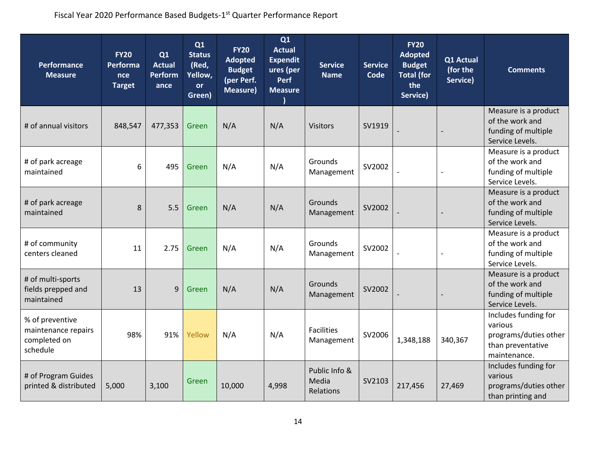| <b>Performance</b><br><b>Measure</b>                               | <b>FY20</b><br>Performa<br>nce<br><b>Target</b> | Q1<br><b>Actual</b><br><b>Perform</b><br>ance | Q1<br><b>Status</b><br>(Red,<br>Yellow,<br><b>or</b><br>Green) | <b>FY20</b><br><b>Adopted</b><br><b>Budget</b><br>(per Perf.<br><b>Measure)</b> | Q1<br><b>Actual</b><br><b>Expendit</b><br>ures (per<br><b>Perf</b><br><b>Measure</b> | <b>Service</b><br><b>Name</b>       | <b>Service</b><br>Code | <b>FY20</b><br><b>Adopted</b><br><b>Budget</b><br><b>Total (for</b><br>the<br>Service) | Q1 Actual<br>(for the<br>Service) | <b>Comments</b>                                                                               |
|--------------------------------------------------------------------|-------------------------------------------------|-----------------------------------------------|----------------------------------------------------------------|---------------------------------------------------------------------------------|--------------------------------------------------------------------------------------|-------------------------------------|------------------------|----------------------------------------------------------------------------------------|-----------------------------------|-----------------------------------------------------------------------------------------------|
| # of annual visitors                                               | 848,547                                         | 477,353                                       | Green                                                          | N/A                                                                             | N/A                                                                                  | <b>Visitors</b>                     | SV1919                 |                                                                                        |                                   | Measure is a product<br>of the work and<br>funding of multiple<br>Service Levels.             |
| # of park acreage<br>maintained                                    | 6                                               | 495                                           | Green                                                          | N/A                                                                             | N/A                                                                                  | Grounds<br>Management               | SV2002                 |                                                                                        | $\overline{\phantom{a}}$          | Measure is a product<br>of the work and<br>funding of multiple<br>Service Levels.             |
| # of park acreage<br>maintained                                    | 8                                               | 5.5                                           | Green                                                          | N/A                                                                             | N/A                                                                                  | Grounds<br>Management               | SV2002                 |                                                                                        |                                   | Measure is a product<br>of the work and<br>funding of multiple<br>Service Levels.             |
| # of community<br>centers cleaned                                  | 11                                              | 2.75                                          | Green                                                          | N/A                                                                             | N/A                                                                                  | Grounds<br>Management               | SV2002                 |                                                                                        |                                   | Measure is a product<br>of the work and<br>funding of multiple<br>Service Levels.             |
| # of multi-sports<br>fields prepped and<br>maintained              | 13                                              | 9                                             | Green                                                          | N/A                                                                             | N/A                                                                                  | Grounds<br>Management               | SV2002                 |                                                                                        |                                   | Measure is a product<br>of the work and<br>funding of multiple<br>Service Levels.             |
| % of preventive<br>maintenance repairs<br>completed on<br>schedule | 98%                                             | 91%                                           | Yellow                                                         | N/A                                                                             | N/A                                                                                  | <b>Facilities</b><br>Management     | SV2006                 | 1,348,188                                                                              | 340,367                           | Includes funding for<br>various<br>programs/duties other<br>than preventative<br>maintenance. |
| # of Program Guides<br>printed & distributed                       | 5,000                                           | 3,100                                         | Green                                                          | 10,000                                                                          | 4,998                                                                                | Public Info &<br>Media<br>Relations | SV2103                 | 217,456                                                                                | 27,469                            | Includes funding for<br>various<br>programs/duties other<br>than printing and                 |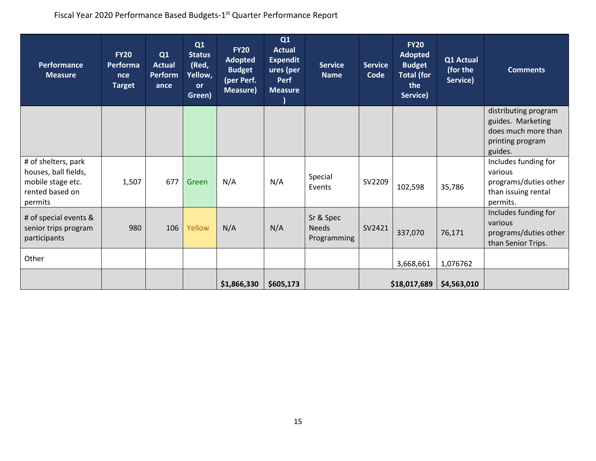| Performance<br><b>Measure</b> | <b>FY20</b><br>Performa<br>nce<br><b>Target</b> | Q1<br><b>Actual</b><br><b>Perform</b><br>ance | Q1<br><b>Status</b><br>(Red,<br>Yellow,<br><b>or</b><br>Green) | <b>FY20</b><br><b>Adopted</b><br><b>Budget</b><br>(per Perf.<br>Measure) | Q1<br><b>Actual</b><br><b>Expendit</b><br>ures (per<br><b>Perf</b><br><b>Measure</b> | <b>Service</b><br><b>Name</b> | <b>Service</b><br>Code | <b>FY20</b><br><b>Adopted</b><br><b>Budget</b><br><b>Total (for</b><br>the<br>Service) | Q1 Actual<br>(for the<br>Service) | <b>Comments</b>       |
|-------------------------------|-------------------------------------------------|-----------------------------------------------|----------------------------------------------------------------|--------------------------------------------------------------------------|--------------------------------------------------------------------------------------|-------------------------------|------------------------|----------------------------------------------------------------------------------------|-----------------------------------|-----------------------|
|                               |                                                 |                                               |                                                                |                                                                          |                                                                                      |                               |                        |                                                                                        |                                   | distributing program  |
|                               |                                                 |                                               |                                                                |                                                                          |                                                                                      |                               |                        |                                                                                        |                                   | guides. Marketing     |
|                               |                                                 |                                               |                                                                |                                                                          |                                                                                      |                               |                        |                                                                                        |                                   | does much more than   |
|                               |                                                 |                                               |                                                                |                                                                          |                                                                                      |                               |                        |                                                                                        |                                   | printing program      |
|                               |                                                 |                                               |                                                                |                                                                          |                                                                                      |                               |                        |                                                                                        |                                   | guides.               |
| # of shelters, park           |                                                 |                                               |                                                                |                                                                          |                                                                                      |                               |                        |                                                                                        |                                   | Includes funding for  |
| houses, ball fields,          |                                                 |                                               |                                                                |                                                                          |                                                                                      | Special                       |                        |                                                                                        |                                   | various               |
| mobile stage etc.             | 1,507                                           | 677                                           | Green                                                          | N/A                                                                      | N/A                                                                                  | Events                        | SV2209                 | 102,598                                                                                | 35,786                            | programs/duties other |
| rented based on               |                                                 |                                               |                                                                |                                                                          |                                                                                      |                               |                        |                                                                                        |                                   | than issuing rental   |
| permits                       |                                                 |                                               |                                                                |                                                                          |                                                                                      |                               |                        |                                                                                        |                                   | permits.              |
| # of special events &         |                                                 |                                               |                                                                |                                                                          |                                                                                      | Sr & Spec                     |                        |                                                                                        |                                   | Includes funding for  |
| senior trips program          | 980                                             | 106                                           | Yellow                                                         | N/A                                                                      | N/A                                                                                  | <b>Needs</b>                  | SV2421                 |                                                                                        |                                   | various               |
| participants                  |                                                 |                                               |                                                                |                                                                          |                                                                                      | Programming                   |                        | 337,070                                                                                | 76,171                            | programs/duties other |
|                               |                                                 |                                               |                                                                |                                                                          |                                                                                      |                               |                        |                                                                                        |                                   | than Senior Trips.    |
| Other                         |                                                 |                                               |                                                                |                                                                          |                                                                                      |                               |                        |                                                                                        |                                   |                       |
|                               |                                                 |                                               |                                                                |                                                                          |                                                                                      |                               |                        | 3,668,661                                                                              | 1,076762                          |                       |
|                               |                                                 |                                               |                                                                |                                                                          |                                                                                      |                               |                        |                                                                                        |                                   |                       |
|                               |                                                 |                                               |                                                                | \$1,866,330                                                              | \$605,173                                                                            |                               |                        | \$18,017,689                                                                           | \$4,563,010                       |                       |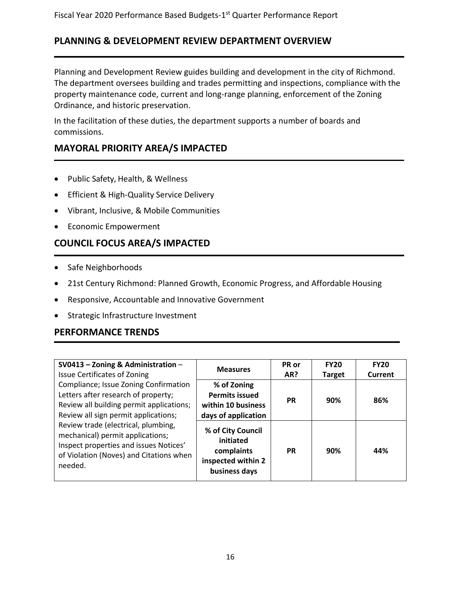### **PLANNING & DEVELOPMENT REVIEW DEPARTMENT OVERVIEW**

Planning and Development Review guides building and development in the city of Richmond. The department oversees building and trades permitting and inspections, compliance with the property maintenance code, current and long-range planning, enforcement of the Zoning Ordinance, and historic preservation.

In the facilitation of these duties, the department supports a number of boards and commissions.

### **MAYORAL PRIORITY AREA/S IMPACTED**

- Public Safety, Health, & Wellness
- Efficient & High-Quality Service Delivery
- Vibrant, Inclusive, & Mobile Communities
- Economic Empowerment

### **COUNCIL FOCUS AREA/S IMPACTED**

- Safe Neighborhoods
- 21st Century Richmond: Planned Growth, Economic Progress, and Affordable Housing
- Responsive, Accountable and Innovative Government
- Strategic Infrastructure Investment

### **PERFORMANCE TRENDS**

| SV0413 - Zoning & Administration -<br><b>Issue Certificates of Zoning</b>                                                                                                                                                                                                                                                                   | <b>Measures</b>                                                                     | PR or<br>AR? | <b>FY20</b><br><b>Target</b> | <b>FY20</b><br>Current |
|---------------------------------------------------------------------------------------------------------------------------------------------------------------------------------------------------------------------------------------------------------------------------------------------------------------------------------------------|-------------------------------------------------------------------------------------|--------------|------------------------------|------------------------|
| Compliance; Issue Zoning Confirmation<br>Letters after research of property;<br>Review all building permit applications;<br>Review all sign permit applications;<br>Review trade (electrical, plumbing,<br>mechanical) permit applications;<br>Inspect properties and issues Notices'<br>of Violation (Noves) and Citations when<br>needed. | % of Zoning<br><b>Permits issued</b><br>within 10 business<br>days of application   | <b>PR</b>    | 90%                          | 86%                    |
|                                                                                                                                                                                                                                                                                                                                             | % of City Council<br>initiated<br>complaints<br>inspected within 2<br>business days | <b>PR</b>    | 90%                          | 44%                    |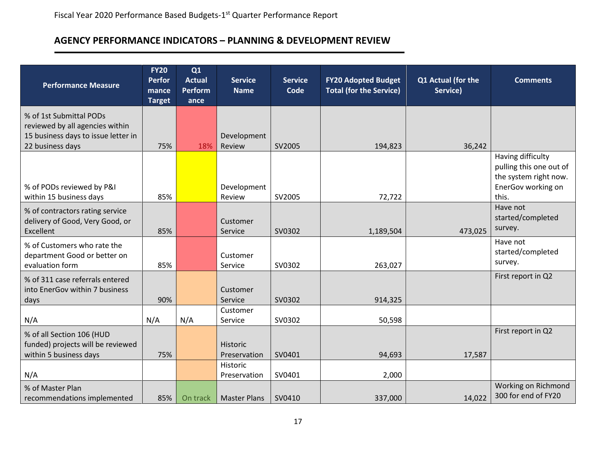### **AGENCY PERFORMANCE INDICATORS – PLANNING & DEVELOPMENT REVIEW**

| <b>Performance Measure</b>                                                                                            | <b>FY20</b><br><b>Perfor</b><br>mance<br><b>Target</b> | Q1<br><b>Actual</b><br><b>Perform</b><br>ance | <b>Service</b><br><b>Name</b> | <b>Service</b><br><b>Code</b> | <b>FY20 Adopted Budget</b><br><b>Total (for the Service)</b> | Q1 Actual (for the<br>Service) | <b>Comments</b>                                                                                      |
|-----------------------------------------------------------------------------------------------------------------------|--------------------------------------------------------|-----------------------------------------------|-------------------------------|-------------------------------|--------------------------------------------------------------|--------------------------------|------------------------------------------------------------------------------------------------------|
| % of 1st Submittal PODs<br>reviewed by all agencies within<br>15 business days to issue letter in<br>22 business days | 75%                                                    | 18%                                           | Development<br>Review         | SV2005                        | 194,823                                                      | 36,242                         |                                                                                                      |
| % of PODs reviewed by P&I<br>within 15 business days                                                                  | 85%                                                    |                                               | Development<br>Review         | SV2005                        | 72,722                                                       |                                | Having difficulty<br>pulling this one out of<br>the system right now.<br>EnerGov working on<br>this. |
| % of contractors rating service<br>delivery of Good, Very Good, or<br>Excellent                                       | 85%                                                    |                                               | Customer<br>Service           | SV0302                        | 1,189,504                                                    | 473,025                        | Have not<br>started/completed<br>survey.                                                             |
| % of Customers who rate the<br>department Good or better on<br>evaluation form                                        | 85%                                                    |                                               | Customer<br>Service           | SV0302                        | 263,027                                                      |                                | Have not<br>started/completed<br>survey.                                                             |
| % of 311 case referrals entered<br>into EnerGov within 7 business<br>days                                             | 90%                                                    |                                               | Customer<br>Service           | SV0302                        | 914,325                                                      |                                | First report in Q2                                                                                   |
| N/A                                                                                                                   | N/A                                                    | N/A                                           | Customer<br>Service           | SV0302                        | 50,598                                                       |                                |                                                                                                      |
| % of all Section 106 (HUD<br>funded) projects will be reviewed<br>within 5 business days                              | 75%                                                    |                                               | Historic<br>Preservation      | SV0401                        | 94,693                                                       | 17,587                         | First report in Q2                                                                                   |
| N/A                                                                                                                   |                                                        |                                               | Historic<br>Preservation      | SV0401                        | 2,000                                                        |                                |                                                                                                      |
| % of Master Plan<br>recommendations implemented                                                                       | 85%                                                    | On track                                      | <b>Master Plans</b>           | SV0410                        | 337,000                                                      | 14,022                         | Working on Richmond<br>300 for end of FY20                                                           |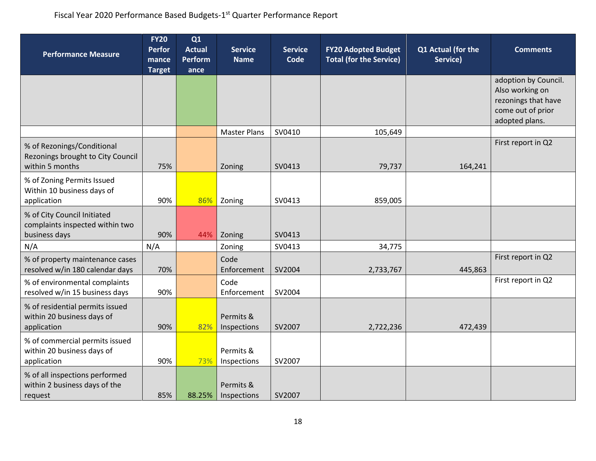| <b>Performance Measure</b>                                                         | <b>FY20</b><br><b>Perfor</b><br>mance<br><b>Target</b> | Q1<br><b>Actual</b><br><b>Perform</b><br>ance | <b>Service</b><br><b>Name</b> | <b>Service</b><br><b>Code</b> | <b>FY20 Adopted Budget</b><br><b>Total (for the Service)</b> | Q1 Actual (for the<br>Service) | <b>Comments</b>                                                                                       |
|------------------------------------------------------------------------------------|--------------------------------------------------------|-----------------------------------------------|-------------------------------|-------------------------------|--------------------------------------------------------------|--------------------------------|-------------------------------------------------------------------------------------------------------|
|                                                                                    |                                                        |                                               |                               |                               |                                                              |                                | adoption by Council.<br>Also working on<br>rezonings that have<br>come out of prior<br>adopted plans. |
|                                                                                    |                                                        |                                               | <b>Master Plans</b>           | SV0410                        | 105,649                                                      |                                |                                                                                                       |
| % of Rezonings/Conditional<br>Rezonings brought to City Council<br>within 5 months | 75%                                                    |                                               | Zoning                        | SV0413                        | 79,737                                                       | 164,241                        | First report in Q2                                                                                    |
| % of Zoning Permits Issued<br>Within 10 business days of<br>application            | 90%                                                    | 86%                                           | Zoning                        | SV0413                        | 859,005                                                      |                                |                                                                                                       |
| % of City Council Initiated<br>complaints inspected within two<br>business days    | 90%                                                    | 44%                                           | Zoning                        | SV0413                        |                                                              |                                |                                                                                                       |
| N/A                                                                                | N/A                                                    |                                               | Zoning                        | SV0413                        | 34,775                                                       |                                |                                                                                                       |
| % of property maintenance cases<br>resolved w/in 180 calendar days                 | 70%                                                    |                                               | Code<br>Enforcement           | SV2004                        | 2,733,767                                                    | 445,863                        | First report in Q2                                                                                    |
| % of environmental complaints<br>resolved w/in 15 business days                    | 90%                                                    |                                               | Code<br>Enforcement           | SV2004                        |                                                              |                                | First report in Q2                                                                                    |
| % of residential permits issued<br>within 20 business days of<br>application       | 90%                                                    | 82%                                           | Permits &<br>Inspections      | SV2007                        | 2,722,236                                                    | 472,439                        |                                                                                                       |
| % of commercial permits issued<br>within 20 business days of<br>application        | 90%                                                    | 73%                                           | Permits &<br>Inspections      | SV2007                        |                                                              |                                |                                                                                                       |
| % of all inspections performed<br>within 2 business days of the<br>request         | 85%                                                    | 88.25%                                        | Permits &<br>Inspections      | SV2007                        |                                                              |                                |                                                                                                       |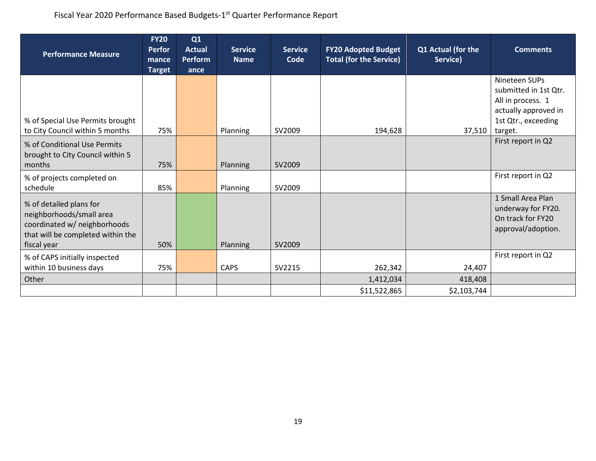| <b>Performance Measure</b>                                                                                                              | <b>FY20</b><br><b>Perfor</b><br>mance<br><b>Target</b> | Q1<br><b>Actual</b><br><b>Perform</b><br>ance | <b>Service</b><br><b>Name</b> | <b>Service</b><br>Code | <b>FY20 Adopted Budget</b><br><b>Total (for the Service)</b> | Q1 Actual (for the<br>Service) | <b>Comments</b>                                                                                            |
|-----------------------------------------------------------------------------------------------------------------------------------------|--------------------------------------------------------|-----------------------------------------------|-------------------------------|------------------------|--------------------------------------------------------------|--------------------------------|------------------------------------------------------------------------------------------------------------|
| % of Special Use Permits brought                                                                                                        |                                                        |                                               |                               |                        |                                                              |                                | Nineteen SUPs<br>submitted in 1st Qtr.<br>All in process. 1<br>actually approved in<br>1st Qtr., exceeding |
| to City Council within 5 months<br>% of Conditional Use Permits<br>brought to City Council within 5<br>months                           | 75%<br>75%                                             |                                               | Planning<br>Planning          | SV2009<br>SV2009       | 194,628                                                      | 37,510                         | target.<br>First report in Q2                                                                              |
| % of projects completed on<br>schedule                                                                                                  | 85%                                                    |                                               | Planning                      | SV2009                 |                                                              |                                | First report in Q2                                                                                         |
| % of detailed plans for<br>neighborhoods/small area<br>coordinated w/ neighborhoods<br>that will be completed within the<br>fiscal year | 50%                                                    |                                               | Planning                      | SV2009                 |                                                              |                                | 1 Small Area Plan<br>underway for FY20.<br>On track for FY20<br>approval/adoption.                         |
| % of CAPS initially inspected<br>within 10 business days                                                                                | 75%                                                    |                                               | <b>CAPS</b>                   | SV2215                 | 262,342                                                      | 24,407                         | First report in Q2                                                                                         |
| Other                                                                                                                                   |                                                        |                                               |                               |                        | 1,412,034                                                    | 418,408                        |                                                                                                            |
|                                                                                                                                         |                                                        |                                               |                               |                        | \$11,522,865                                                 | \$2,103,744                    |                                                                                                            |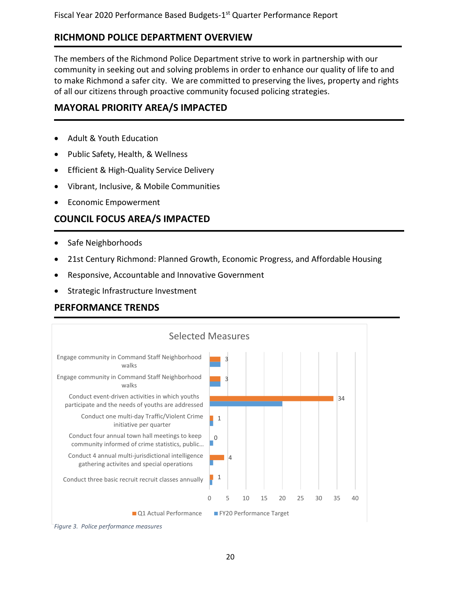### **RICHMOND POLICE DEPARTMENT OVERVIEW**

The members of the Richmond Police Department strive to work in partnership with our community in seeking out and solving problems in order to enhance our quality of life to and to make Richmond a safer city. We are committed to preserving the lives, property and rights of all our citizens through proactive community focused policing strategies.

### **MAYORAL PRIORITY AREA/S IMPACTED**

- Adult & Youth Education
- Public Safety, Health, & Wellness
- Efficient & High-Quality Service Delivery
- Vibrant, Inclusive, & Mobile Communities
- Economic Empowerment

### **COUNCIL FOCUS AREA/S IMPACTED**

- Safe Neighborhoods
- 21st Century Richmond: Planned Growth, Economic Progress, and Affordable Housing
- Responsive, Accountable and Innovative Government
- Strategic Infrastructure Investment

### **PERFORMANCE TRENDS**



*Figure 3. Police performance measures*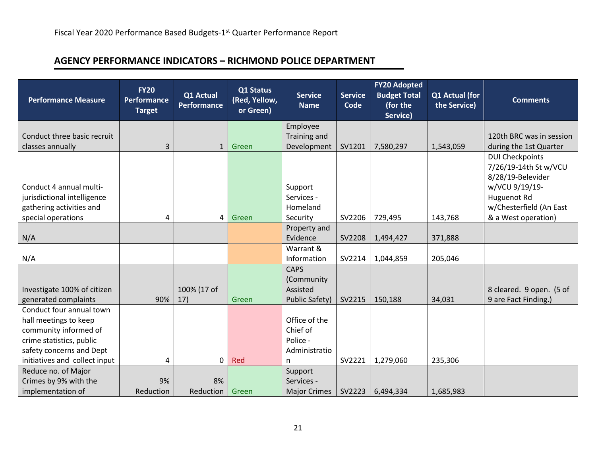# **AGENCY PERFORMANCE INDICATORS – RICHMOND POLICE DEPARTMENT**

| <b>Performance Measure</b>    | <b>FY20</b><br>Performance<br><b>Target</b> | Q1 Actual<br>Performance | Q1 Status<br>(Red, Yellow,<br>or Green) | <b>Service</b><br><b>Name</b> | <b>Service</b><br>Code | <b>FY20 Adopted</b><br><b>Budget Total</b><br>(for the<br>Service) | Q1 Actual (for<br>the Service) | <b>Comments</b>          |
|-------------------------------|---------------------------------------------|--------------------------|-----------------------------------------|-------------------------------|------------------------|--------------------------------------------------------------------|--------------------------------|--------------------------|
| Conduct three basic recruit   |                                             |                          |                                         | Employee<br>Training and      |                        |                                                                    |                                | 120th BRC was in session |
| classes annually              | 3                                           | $\mathbf{1}$             | Green                                   | Development                   | SV1201                 | 7,580,297                                                          | 1,543,059                      | during the 1st Quarter   |
|                               |                                             |                          |                                         |                               |                        |                                                                    |                                | <b>DUI Checkpoints</b>   |
|                               |                                             |                          |                                         |                               |                        |                                                                    |                                | 7/26/19-14th St w/VCU    |
|                               |                                             |                          |                                         |                               |                        |                                                                    |                                | 8/28/19-Belevider        |
| Conduct 4 annual multi-       |                                             |                          |                                         | Support                       |                        |                                                                    |                                | w/VCU 9/19/19-           |
| jurisdictional intelligence   |                                             |                          |                                         | Services -                    |                        |                                                                    |                                | Huguenot Rd              |
| gathering activities and      |                                             |                          |                                         | Homeland                      |                        |                                                                    |                                | w/Chesterfield (An East  |
| special operations            | 4                                           | $\overline{4}$           | Green                                   | Security                      | SV2206                 | 729,495                                                            | 143,768                        | & a West operation)      |
|                               |                                             |                          |                                         | Property and                  |                        |                                                                    |                                |                          |
| N/A                           |                                             |                          |                                         | Evidence                      | SV2208                 | 1,494,427                                                          | 371,888                        |                          |
|                               |                                             |                          |                                         | Warrant &                     |                        |                                                                    |                                |                          |
| N/A                           |                                             |                          |                                         | Information                   | SV2214                 | 1,044,859                                                          | 205,046                        |                          |
|                               |                                             |                          |                                         | <b>CAPS</b>                   |                        |                                                                    |                                |                          |
| Investigate 100% of citizen   |                                             | 100% (17 of              |                                         | (Community<br>Assisted        |                        |                                                                    |                                | 8 cleared. 9 open. (5 of |
| generated complaints          | 90%                                         | 17)                      | Green                                   | <b>Public Safety)</b>         | SV2215                 | 150,188                                                            | 34,031                         | 9 are Fact Finding.)     |
| Conduct four annual town      |                                             |                          |                                         |                               |                        |                                                                    |                                |                          |
| hall meetings to keep         |                                             |                          |                                         | Office of the                 |                        |                                                                    |                                |                          |
| community informed of         |                                             |                          |                                         | Chief of                      |                        |                                                                    |                                |                          |
| crime statistics, public      |                                             |                          |                                         | Police -                      |                        |                                                                    |                                |                          |
| safety concerns and Dept      |                                             |                          |                                         | Administratio                 |                        |                                                                    |                                |                          |
| initiatives and collect input | 4                                           | $\mathbf 0$              | Red                                     | n                             | SV2221                 | 1,279,060                                                          | 235,306                        |                          |
| Reduce no. of Major           |                                             |                          |                                         | Support                       |                        |                                                                    |                                |                          |
| Crimes by 9% with the         | 9%                                          | 8%                       |                                         | Services -                    |                        |                                                                    |                                |                          |
| implementation of             | Reduction                                   | Reduction                | Green                                   | <b>Major Crimes</b>           | SV2223                 | 6,494,334                                                          | 1,685,983                      |                          |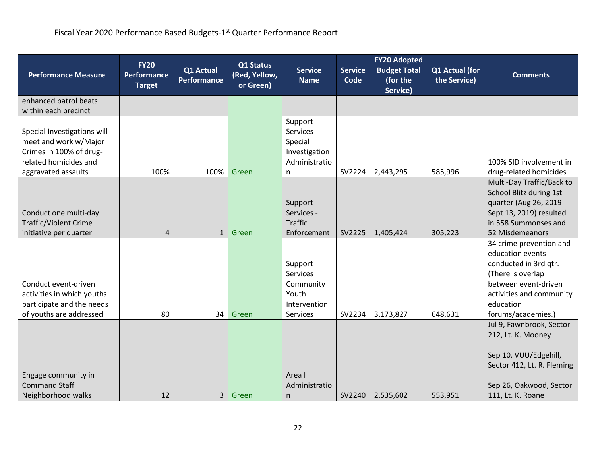| <b>Performance Measure</b>                                                                                                      | <b>FY20</b><br>Performance<br><b>Target</b> | Q1 Actual<br>Performance | Q1 Status<br>(Red, Yellow,<br>or Green) | <b>Service</b><br><b>Name</b>                                                | <b>Service</b><br>Code | <b>FY20 Adopted</b><br><b>Budget Total</b><br>(for the<br>Service) | Q1 Actual (for<br>the Service) | <b>Comments</b>                                                                                                                                                                  |
|---------------------------------------------------------------------------------------------------------------------------------|---------------------------------------------|--------------------------|-----------------------------------------|------------------------------------------------------------------------------|------------------------|--------------------------------------------------------------------|--------------------------------|----------------------------------------------------------------------------------------------------------------------------------------------------------------------------------|
| enhanced patrol beats<br>within each precinct                                                                                   |                                             |                          |                                         |                                                                              |                        |                                                                    |                                |                                                                                                                                                                                  |
| Special Investigations will<br>meet and work w/Major<br>Crimes in 100% of drug-<br>related homicides and<br>aggravated assaults | 100%                                        | 100%                     | Green                                   | Support<br>Services -<br>Special<br>Investigation<br>Administratio<br>n      | SV2224                 | 2,443,295                                                          | 585,996                        | 100% SID involvement in<br>drug-related homicides                                                                                                                                |
| Conduct one multi-day<br><b>Traffic/Violent Crime</b><br>initiative per quarter                                                 | 4                                           | $\mathbf{1}$             | Green                                   | Support<br>Services -<br><b>Traffic</b><br>Enforcement                       | SV2225                 | 1,405,424                                                          | 305,223                        | Multi-Day Traffic/Back to<br>School Blitz during 1st<br>quarter (Aug 26, 2019 -<br>Sept 13, 2019) resulted<br>in 558 Summonses and<br>52 Misdemeanors                            |
| Conduct event-driven<br>activities in which youths<br>participate and the needs<br>of youths are addressed                      | 80                                          | 34                       | Green                                   | Support<br><b>Services</b><br>Community<br>Youth<br>Intervention<br>Services | SV2234                 | 3,173,827                                                          | 648,631                        | 34 crime prevention and<br>education events<br>conducted in 3rd qtr.<br>(There is overlap<br>between event-driven<br>activities and community<br>education<br>forums/academies.) |
| Engage community in<br><b>Command Staff</b><br>Neighborhood walks                                                               | 12                                          | 3                        | Green                                   | Area I<br>Administratio<br>n                                                 | SV2240                 | 2,535,602                                                          | 553,951                        | Jul 9, Fawnbrook, Sector<br>212, Lt. K. Mooney<br>Sep 10, VUU/Edgehill,<br>Sector 412, Lt. R. Fleming<br>Sep 26, Oakwood, Sector<br>111, Lt. K. Roane                            |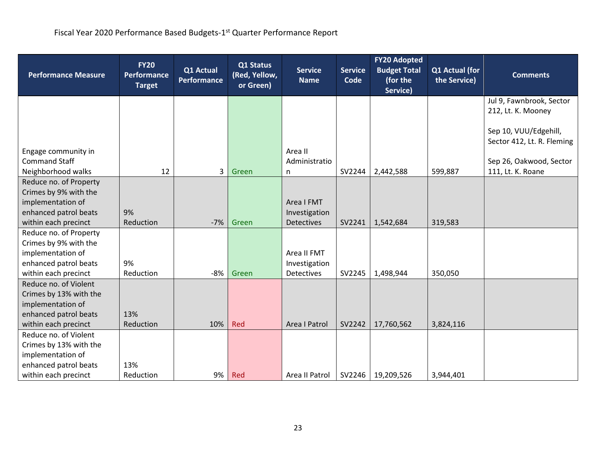| <b>Performance Measure</b>                 | <b>FY20</b><br>Performance<br><b>Target</b> | Q1 Actual<br><b>Performance</b> | Q1 Status<br>(Red, Yellow,<br>or Green) | <b>Service</b><br><b>Name</b> | <b>Service</b><br>Code | <b>FY20 Adopted</b><br><b>Budget Total</b><br>(for the | Q1 Actual (for<br>the Service) | <b>Comments</b>            |
|--------------------------------------------|---------------------------------------------|---------------------------------|-----------------------------------------|-------------------------------|------------------------|--------------------------------------------------------|--------------------------------|----------------------------|
|                                            |                                             |                                 |                                         |                               |                        | Service)                                               |                                | Jul 9, Fawnbrook, Sector   |
|                                            |                                             |                                 |                                         |                               |                        |                                                        |                                | 212, Lt. K. Mooney         |
|                                            |                                             |                                 |                                         |                               |                        |                                                        |                                |                            |
|                                            |                                             |                                 |                                         |                               |                        |                                                        |                                | Sep 10, VUU/Edgehill,      |
|                                            |                                             |                                 |                                         |                               |                        |                                                        |                                | Sector 412, Lt. R. Fleming |
| Engage community in                        |                                             |                                 |                                         | Area II                       |                        |                                                        |                                |                            |
| <b>Command Staff</b>                       |                                             |                                 |                                         | Administratio                 |                        |                                                        |                                | Sep 26, Oakwood, Sector    |
| Neighborhood walks                         | 12                                          | $\mathbf{3}$                    | Green                                   | n                             | SV2244                 | 2,442,588                                              | 599,887                        | 111, Lt. K. Roane          |
| Reduce no. of Property                     |                                             |                                 |                                         |                               |                        |                                                        |                                |                            |
| Crimes by 9% with the                      |                                             |                                 |                                         |                               |                        |                                                        |                                |                            |
| implementation of                          |                                             |                                 |                                         | Area I FMT                    |                        |                                                        |                                |                            |
| enhanced patrol beats                      | 9%                                          |                                 |                                         | Investigation                 |                        |                                                        |                                |                            |
| within each precinct                       | Reduction                                   | $-7%$                           | Green                                   | <b>Detectives</b>             | SV2241                 | 1,542,684                                              | 319,583                        |                            |
| Reduce no. of Property                     |                                             |                                 |                                         |                               |                        |                                                        |                                |                            |
| Crimes by 9% with the<br>implementation of |                                             |                                 |                                         | Area II FMT                   |                        |                                                        |                                |                            |
| enhanced patrol beats                      | 9%                                          |                                 |                                         | Investigation                 |                        |                                                        |                                |                            |
| within each precinct                       | Reduction                                   | -8%                             | Green                                   | <b>Detectives</b>             | SV2245                 | 1,498,944                                              | 350,050                        |                            |
| Reduce no. of Violent                      |                                             |                                 |                                         |                               |                        |                                                        |                                |                            |
| Crimes by 13% with the                     |                                             |                                 |                                         |                               |                        |                                                        |                                |                            |
| implementation of                          |                                             |                                 |                                         |                               |                        |                                                        |                                |                            |
| enhanced patrol beats                      | 13%                                         |                                 |                                         |                               |                        |                                                        |                                |                            |
| within each precinct                       | Reduction                                   | 10%                             | Red                                     | Area I Patrol                 | SV2242                 | 17,760,562                                             | 3,824,116                      |                            |
| Reduce no. of Violent                      |                                             |                                 |                                         |                               |                        |                                                        |                                |                            |
| Crimes by 13% with the                     |                                             |                                 |                                         |                               |                        |                                                        |                                |                            |
| implementation of                          |                                             |                                 |                                         |                               |                        |                                                        |                                |                            |
| enhanced patrol beats                      | 13%                                         |                                 |                                         |                               |                        |                                                        |                                |                            |
| within each precinct                       | Reduction                                   | 9%                              | Red                                     | Area II Patrol                | SV2246                 | 19,209,526                                             | 3,944,401                      |                            |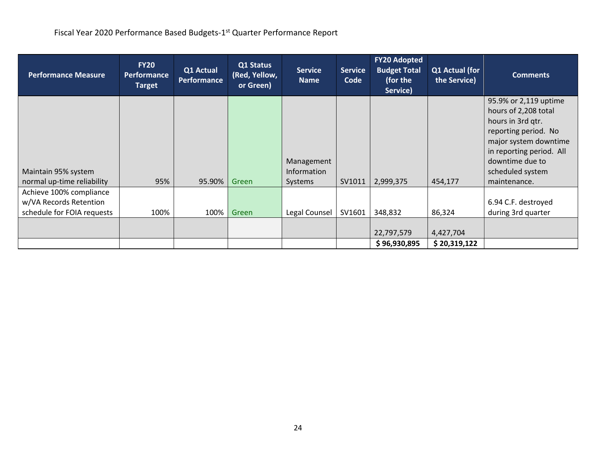| <b>Performance Measure</b>                                                      | <b>FY20</b><br><b>Performance</b><br><b>Target</b> | Q1 Actual<br><b>Performance</b> | Q1 Status<br>(Red, Yellow,<br>or Green) | <b>Service</b><br><b>Name</b>        | <b>Service</b><br>Code | <b>FY20 Adopted</b><br><b>Budget Total</b><br>(for the<br>Service) | Q1 Actual (for<br>the Service) | <b>Comments</b>                                                                                                                                                                                        |
|---------------------------------------------------------------------------------|----------------------------------------------------|---------------------------------|-----------------------------------------|--------------------------------------|------------------------|--------------------------------------------------------------------|--------------------------------|--------------------------------------------------------------------------------------------------------------------------------------------------------------------------------------------------------|
| Maintain 95% system<br>normal up-time reliability                               | 95%                                                | 95.90%                          | Green                                   | Management<br>Information<br>Systems | SV1011                 | 2,999,375                                                          | 454,177                        | 95.9% or 2,119 uptime<br>hours of 2,208 total<br>hours in 3rd qtr.<br>reporting period. No<br>major system downtime<br>in reporting period. All<br>downtime due to<br>scheduled system<br>maintenance. |
| Achieve 100% compliance<br>w/VA Records Retention<br>schedule for FOIA requests | 100%                                               | 100%                            | Green                                   | Legal Counsel                        | SV1601                 | 348,832                                                            | 86,324                         | 6.94 C.F. destroyed<br>during 3rd quarter                                                                                                                                                              |
|                                                                                 |                                                    |                                 |                                         |                                      |                        | 22,797,579<br>\$96,930,895                                         | 4,427,704<br>\$20,319,122      |                                                                                                                                                                                                        |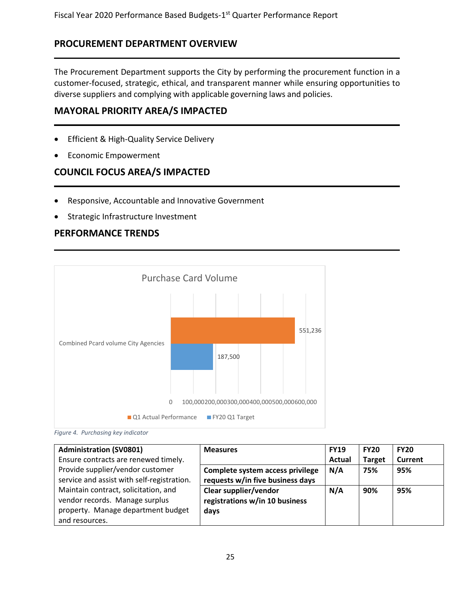### **PROCUREMENT DEPARTMENT OVERVIEW**

The Procurement Department supports the City by performing the procurement function in a customer-focused, strategic, ethical, and transparent manner while ensuring opportunities to diverse suppliers and complying with applicable governing laws and policies.

#### **MAYORAL PRIORITY AREA/S IMPACTED**

- Efficient & High-Quality Service Delivery
- Economic Empowerment

### **COUNCIL FOCUS AREA/S IMPACTED**

- Responsive, Accountable and Innovative Government
- Strategic Infrastructure Investment

### **PERFORMANCE TRENDS**





| <b>Administration (SV0801)</b>             | <b>Measures</b>                  | <b>FY19</b>   | <b>FY20</b>   | <b>FY20</b>    |
|--------------------------------------------|----------------------------------|---------------|---------------|----------------|
| Ensure contracts are renewed timely.       |                                  | <b>Actual</b> | <b>Target</b> | <b>Current</b> |
| Provide supplier/vendor customer           | Complete system access privilege | N/A           | 75%           | 95%            |
| service and assist with self-registration. | requests w/in five business days |               |               |                |
| Maintain contract, solicitation, and       | Clear supplier/vendor            | N/A           | 90%           | 95%            |
| vendor records. Manage surplus             | registrations w/in 10 business   |               |               |                |
| property. Manage department budget         | days                             |               |               |                |
| and resources.                             |                                  |               |               |                |